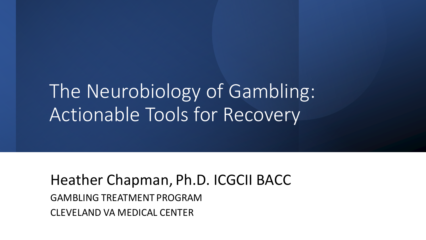The Neurobiology of Gambling: Actionable Tools for Recovery

Heather Chapman, Ph.D. ICGCII BACC GAMBLING TREATMENT PROGRAM CLEVELAND VA MEDICAL CENTER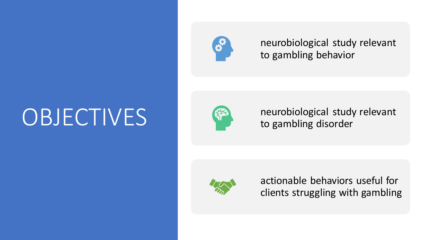## **OBJECTIVES**



neurobiological study relevant to gambling behavior



neurobiological study relevant to gambling disorder



actionable behaviors useful for clients struggling with gambling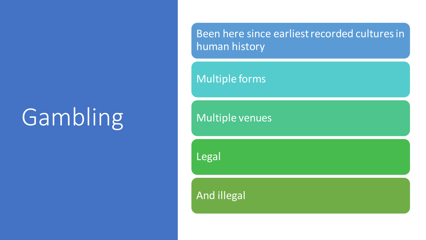## Gambling

Been here since earliest recorded cultures in human history

Multiple forms

Multiple venues

Legal

And illegal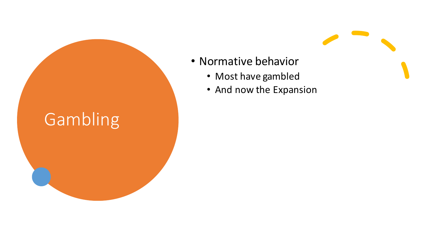### Gambling

- Normative behavior
	- Most have gambled
	- And now the Expansion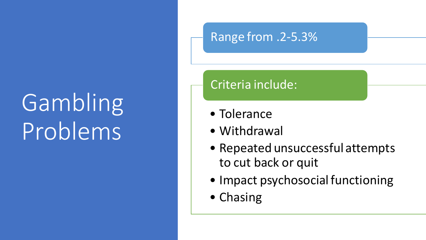## Gambling Problems

#### Range from .2-5.3%

#### Criteria include:

- Tolerance
- Withdrawal
- Repeated unsuccessful attempts to cut back or quit
- Impact psychosocial functioning
- Chasing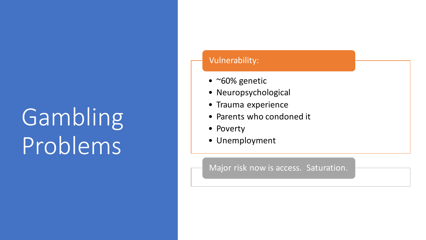## Gambling Problems

#### Vulnerability:

- ~60% genetic
- Neuropsychological
- Trauma experience
- Parents who condoned it
- Poverty
- Unemployment

Major risk now is access. Saturation.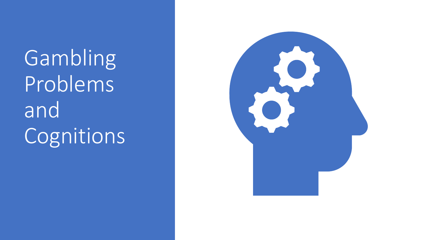**Gambling** Problems and Cognitions

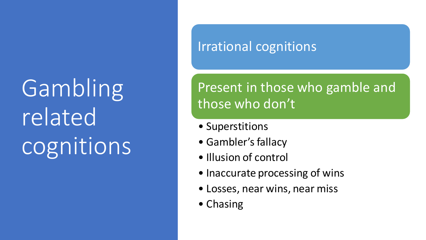# Gambling related cognitions

#### Irrational cognitions

#### Present in those who gamble and those who don't

- Superstitions
- Gambler's fallacy
- Illusion of control
- Inaccurate processing of wins
- Losses, near wins, near miss
- Chasing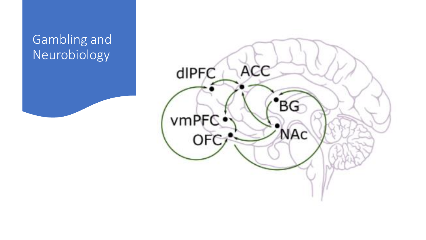#### Gambling and Neurobiology

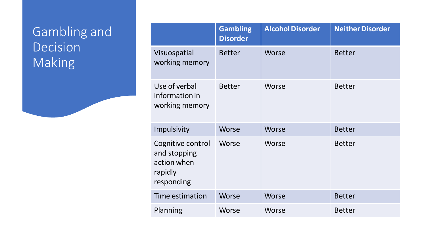#### Gambling and Decision Making

|                                                                           | <b>Gambling</b><br><b>Disorder</b> | <b>Alcohol Disorder</b> | <b>Neither Disorder</b> |
|---------------------------------------------------------------------------|------------------------------------|-------------------------|-------------------------|
| Visuospatial<br>working memory                                            | <b>Better</b>                      | <b>Worse</b>            | <b>Better</b>           |
| Use of verbal<br>information in<br>working memory                         | <b>Better</b>                      | Worse                   | <b>Better</b>           |
| Impulsivity                                                               | Worse                              | Worse                   | <b>Better</b>           |
| Cognitive control<br>and stopping<br>action when<br>rapidly<br>responding | Worse                              | Worse                   | <b>Better</b>           |
| Time estimation                                                           | Worse                              | Worse                   | <b>Better</b>           |
| Planning                                                                  | Worse                              | Worse                   | <b>Better</b>           |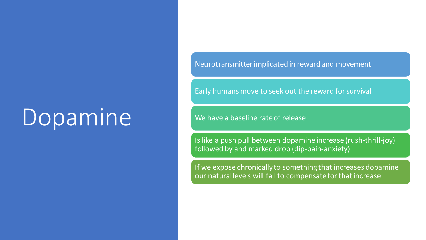## Dopamine

Neurotransmitter implicated in reward and movement

Early humans move to seek out the reward for survival

We have a baseline rate of release

Is like a push pull between dopamine increase (rush-thrill-joy) followed by and marked drop (dip-pain-anxiety)

If we expose chronically to something that increases dopamine our natural levels will fall to compensate for that increase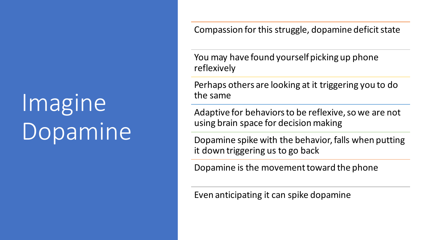## Imagine Dopamine

Compassion for this struggle, dopamine deficit state

You may have found yourself picking up phone reflexively

Perhaps others are looking at it triggering you to do the same

Adaptive for behaviors to be reflexive, so we are not using brain space for decision making

Dopamine spike with the behavior, falls when putting it down triggering us to go back

Dopamine is the movement toward the phone

Even anticipating it can spike dopamine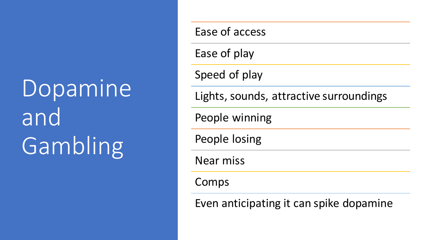# Dopamine and Gambling

Ease of access Ease of play Speed of play Lights, sounds, attractive surroundings People winning People losing Near miss Comps

Even anticipating it can spike dopamine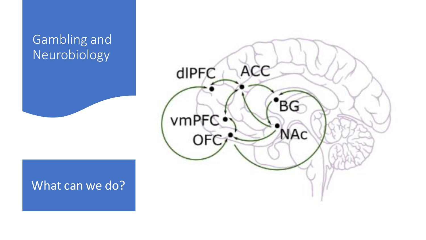#### Gambling and Neurobiology



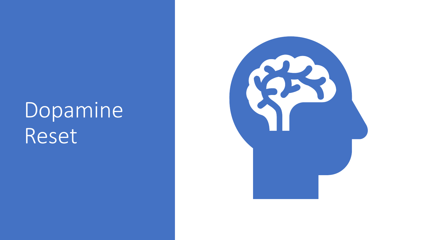## Dopamine Reset

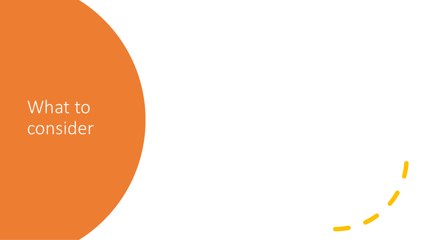### What to consider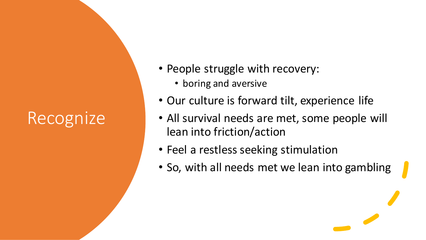### Recognize

- People struggle with recovery:
	- boring and aversive
- Our culture is forward tilt, experience life
- All survival needs are met, some people will lean into friction/action
- Feel a restless seeking stimulation
- So, with all needs met we lean into gambling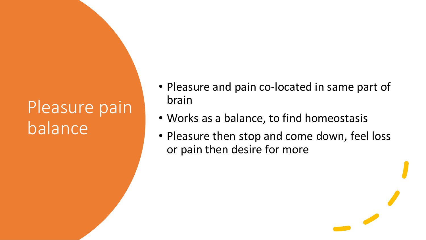- Pleasure and pain co-located in same part of brain
- Works as a balance, to find homeostasis
- Pleasure then stop and come down, feel loss or pain then desire for more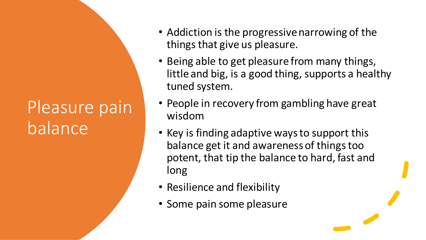- Addiction is the progressive narrowing of the things that give us pleasure.
- Being able to get pleasure from many things, little and big, is a good thing, supports a healthy tuned system.
- People in recovery from gambling have great wisdom
- Key is finding adaptive ways to support this balance get it and awareness of things too potent, that tip the balance to hard, fast and long
- Resilience and flexibility
- Some pain some pleasure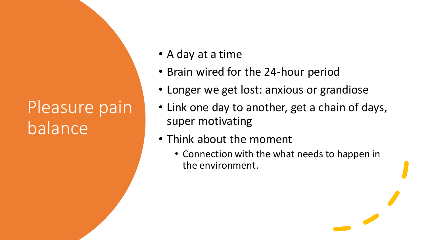- A day at a time
- Brain wired for the 24-hour period
- Longer we get lost: anxious or grandiose
- Link one day to another, get a chain of days, super motivating
- Think about the moment
	- Connection with the what needs to happen in the environment.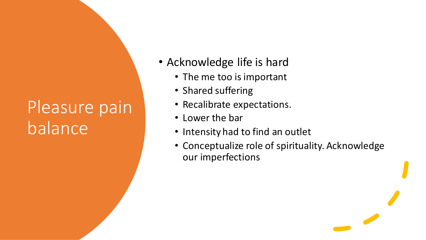- Acknowledge life is hard
	- The me too is important
	- Shared suffering
	- Recalibrate expectations.
	- Lower the bar
	- Intensity had to find an outlet
	- Conceptualize role of spirituality. Acknowledge our imperfections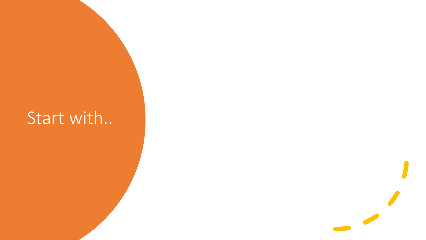### Start with..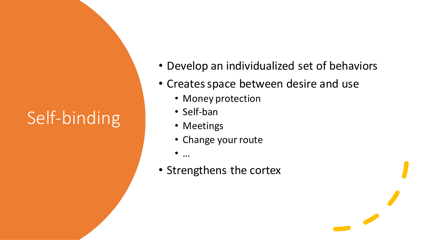### Self-binding

- Develop an individualized set of behaviors
- Creates space between desire and use
	- Money protection
	- Self-ban
	- Meetings
	- Change your route
	- …
- Strengthens the cortex

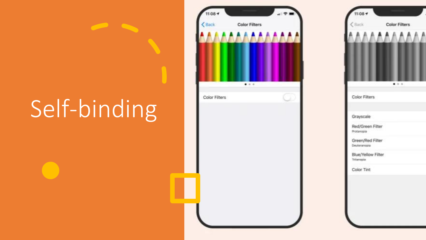## Self-binding

 $\overline{\phantom{a}}$ 



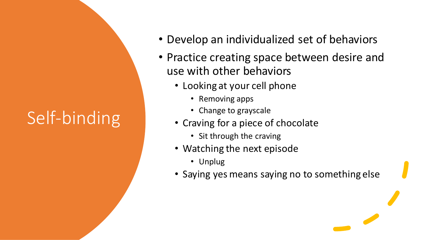### Self-binding

- Develop an individualized set of behaviors
- Practice creating space between desire and use with other behaviors
	- Looking at your cell phone
		- Removing apps
		- Change to grayscale
	- Craving for a piece of chocolate
		- Sit through the craving
	- Watching the next episode
		- Unplug
	- Saying yes means saying no to something else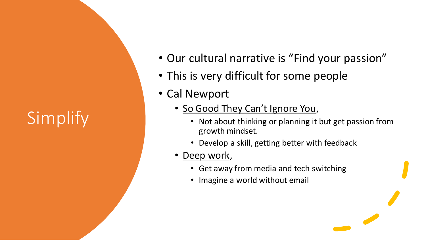### Simplify

- Our cultural narrative is "Find your passion"
- This is very difficult for some people
- Cal Newport
	- So Good They Can't Ignore You,
		- Not about thinking or planning it but get passion from growth mindset.
		- Develop a skill, getting better with feedback
	- <u>Deep work</u>,
		- Get away from media and tech switching
		- Imagine a world without email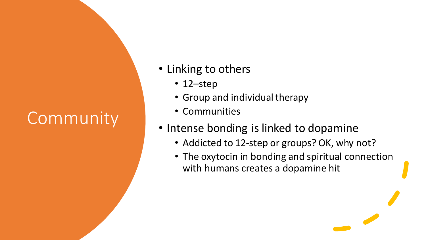### Community

- Linking to others
	- 12–step
	- Group and individual therapy
	- Communities
- Intense bonding is linked to dopamine
	- Addicted to 12-step or groups? OK, why not?
	- The oxytocin in bonding and spiritual connection with humans creates a dopamine hit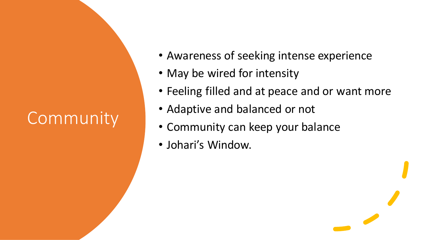### Community

- Awareness of seeking intense experience
- May be wired for intensity
- Feeling filled and at peace and or want more
- Adaptive and balanced or not
- Community can keep your balance
- Johari's Window.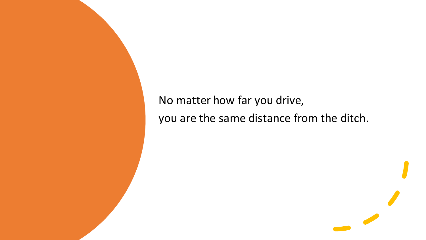#### No matter how far you drive, you are the same distance from the ditch.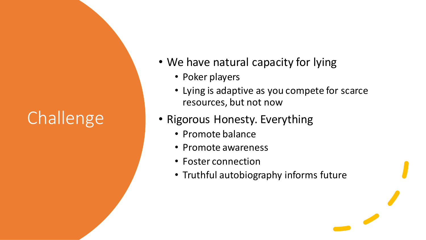- We have natural capacity for lying
	- Poker players
	- Lying is adaptive as you compete for scarce resources, but not now
- Rigorous Honesty. Everything
	- Promote balance
	- Promote awareness
	- Foster connection
	- Truthful autobiography informs future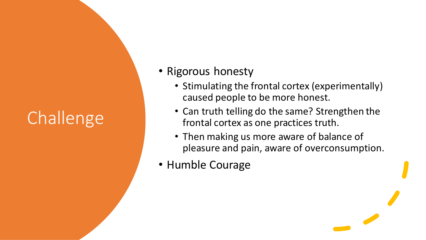- Rigorous honesty
	- Stimulating the frontal cortex (experimentally) caused people to be more honest.
	- Can truth telling do the same? Strengthen the frontal cortex as one practices truth.
	- Then making us more aware of balance of pleasure and pain, aware of overconsumption.
- Humble Courage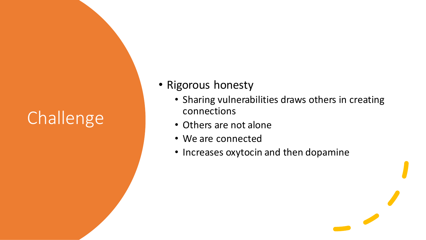- Rigorous honesty
	- Sharing vulnerabilities draws others in creating connections
	- Others are not alone
	- We are connected
	- Increases oxytocin and then dopamine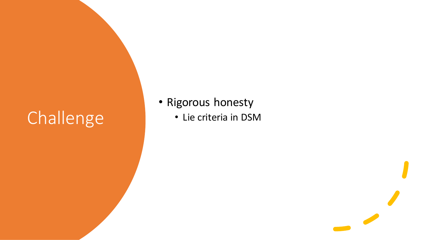- Rigorous honesty
	- Lie criteria in DSM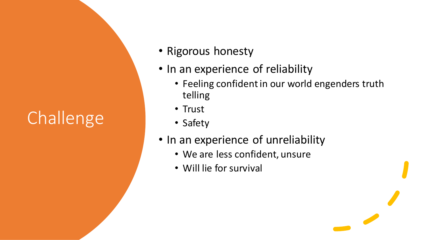- Rigorous honesty
- In an experience of reliability
	- Feeling confident in our world engenders truth telling
	- Trust
	- Safety
- In an experience of unreliability
	- We are less confident, unsure
	- Will lie for survival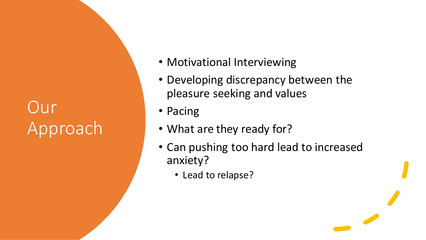### Our Approach

- Motivational Interviewing
- Developing discrepancy between the pleasure seeking and values
- Pacing
- What are they ready for?
- Can pushing too hard lead to increased anxiety?
	- Lead to relapse?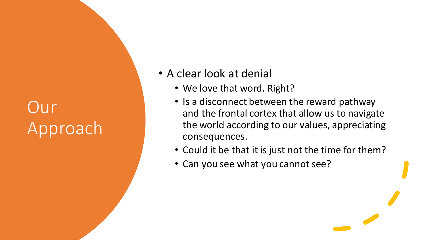### Our Approach

#### • A clear look at denial

- We love that word. Right?
- Is a disconnect between the reward pathway and the frontal cortex that allow us to navigate the world according to our values, appreciating consequences.
- Could it be that it is just not the time for them?
- Can you see what you cannot see?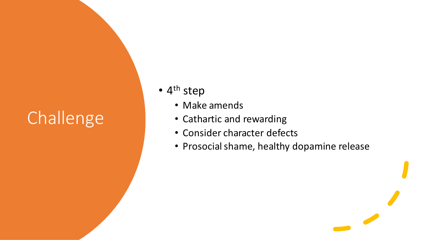- 4<sup>th</sup> step
	- Make amends
	- Cathartic and rewarding
	- Consider character defects
	- Prosocial shame, healthy dopamine release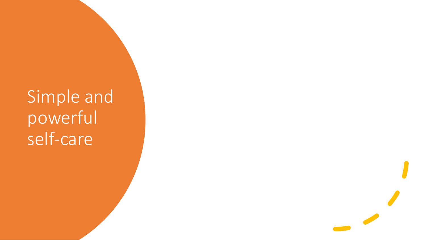### Simple and powerful self-care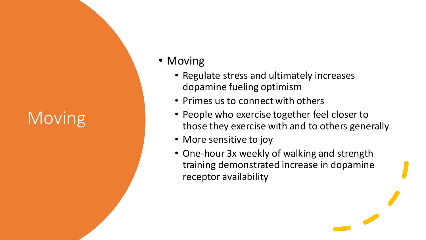### Moving

- Moving
	- Regulate stress and ultimately increases dopamine fueling optimism
	- Primes us to connect with others
	- People who exercise together feel closer to those they exercise with and to others generally
	- More sensitive to joy
	- One-hour 3x weekly of walking and strength training demonstrated increase in dopamine receptor availability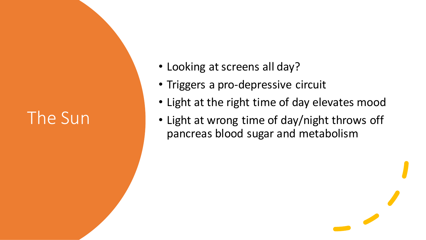### The Sun

- Looking at screens all day?
- Triggers a pro-depressive circuit
- Light at the right time of day elevates mood
- Light at wrong time of day/night throws off pancreas blood sugar and metabolism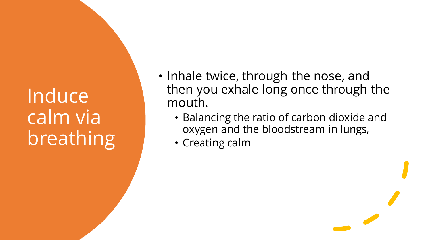Induce calm via breathing

- Inhale twice, through the nose, and then you exhale long once through the mouth.
	- Balancing the ratio of carbon dioxide and oxygen and the bloodstream in lungs,
	- Creating calm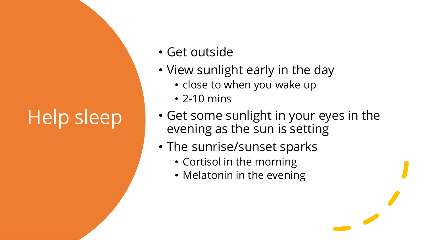## Help sleep

- Get outside
- View sunlight early in the day
	- close to when you wake up
	- 2-10 mins
- Get some sunlight in your eyes in the evening as the sun is setting
- The sunrise/sunset sparks
	- Cortisol in the morning
	- Melatonin in the evening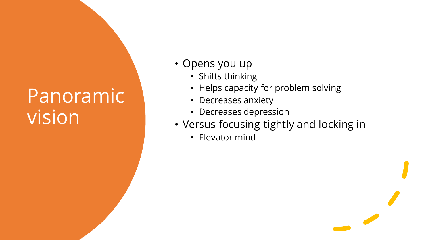### Panoramic vision

- Opens you up
	- Shifts thinking
	- Helps capacity for problem solving
	- Decreases anxiety
	- Decreases depression
- Versus focusing tightly and locking in
	- Elevator mind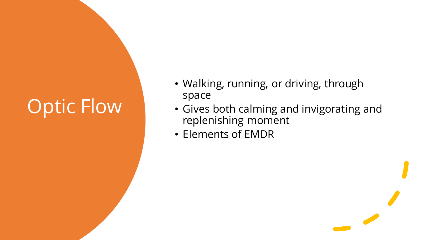### Optic Flow

- Walking, running, or driving, through space
- Gives both calming and invigorating and replenishing moment
- Elements of EMDR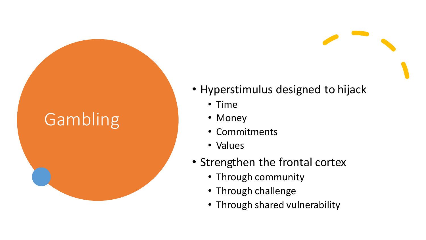### Gambling

#### • Hyperstimulus designed to hijack

- Time
- Money
- Commitments
- Values
- Strengthen the frontal cortex
	- Through community
	- Through challenge
	- Through shared vulnerability